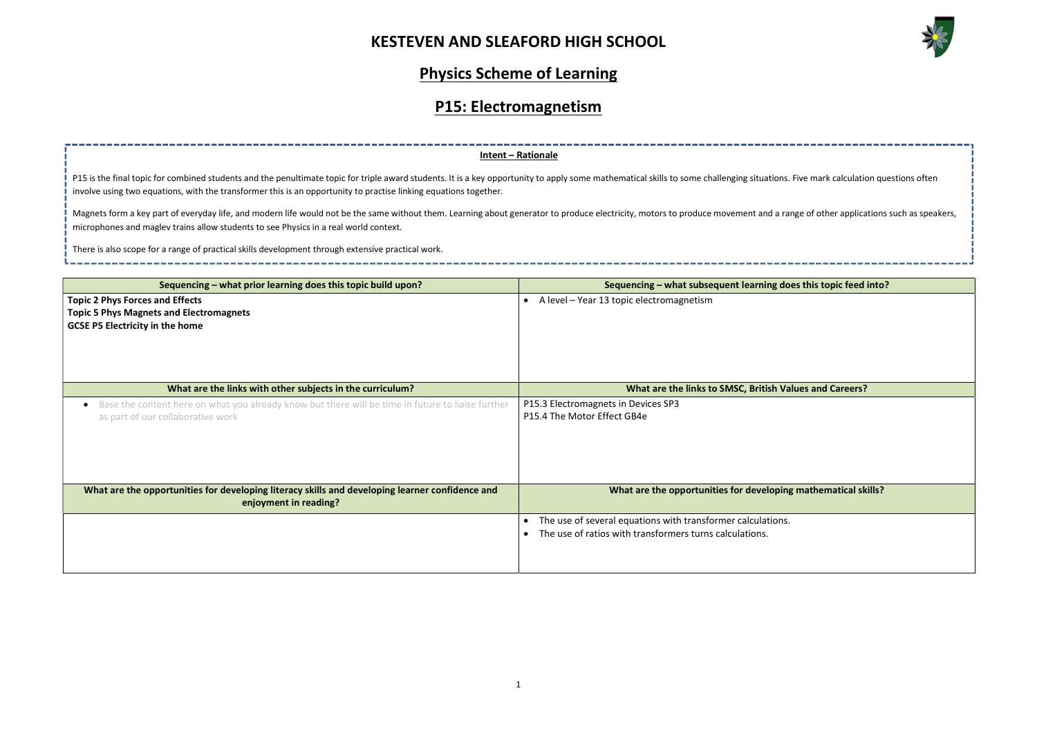

| s. Five mark calculation questions often      |
|-----------------------------------------------|
| range of other applications such as speakers, |
|                                               |
|                                               |
| loes this topic feed into?                    |
|                                               |
|                                               |
|                                               |
|                                               |
|                                               |
| <b>Jalues and Careers?</b>                    |
|                                               |
|                                               |
|                                               |
|                                               |
|                                               |
| ng mathematical skills?                       |
| s.                                            |
|                                               |
|                                               |

### Physics Scheme of Learning

## P15: Electromagnetism

Intent – Rationale P15 is the final topic for combined students and the penultimate topic for triple award students. It is a key opportunity to apply some mathematical skills to some challenging situation involve using two equations, with the transformer this is an opportunity to practise linking equations together. Magnets form a key part of everyday life, and modern life would not be the same without them. Learning about generator to produce electricity, motors to produce movement and a r

| Sequencing – what prior learning does this topic build upon?                                                                           | Sequencing – what subsequent learning does this topic feed into?                                                                                 |
|----------------------------------------------------------------------------------------------------------------------------------------|--------------------------------------------------------------------------------------------------------------------------------------------------|
| <b>Topic 2 Phys Forces and Effects</b><br><b>Topic 5 Phys Magnets and Electromagnets</b><br><b>GCSE P5 Electricity in the home</b>     | A level - Year 13 topic electromagnetism<br>$\bullet$                                                                                            |
| What are the links with other subjects in the curriculum?                                                                              | What are the links to SMSC, British Values and Careers?                                                                                          |
| Base the content here on what you already know but there will be time in future to liaise further<br>as part of our collaborative work | P15.3 Electromagnets in Devices SP3<br>P15.4 The Motor Effect GB4e                                                                               |
| What are the opportunities for developing literacy skills and developing learner confidence and<br>enjoyment in reading?               | What are the opportunities for developing mathematical skills?                                                                                   |
|                                                                                                                                        | The use of several equations with transformer calculations.<br>$\bullet$<br>The use of ratios with transformers turns calculations.<br>$\bullet$ |

microphones and maglev trains allow students to see Physics in a real world context.

There is also scope for a range of practical skills development through extensive practical work.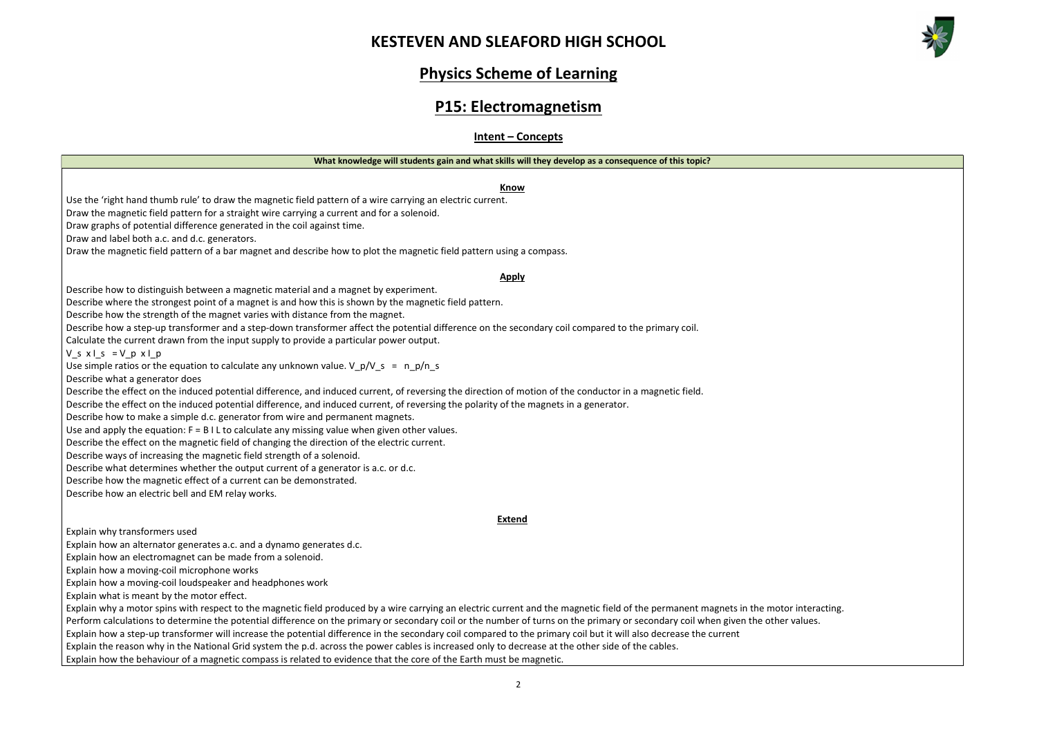

# Physics Scheme of Learning

# P15: Electromagnetism

#### Intent – Concepts

| What knowledge will students gain and what skills will they develop as a consequence of this topic? |  |
|-----------------------------------------------------------------------------------------------------|--|
|-----------------------------------------------------------------------------------------------------|--|

| Know                                                                                                                                                                                   |
|----------------------------------------------------------------------------------------------------------------------------------------------------------------------------------------|
| Use the 'right hand thumb rule' to draw the magnetic field pattern of a wire carrying an electric current.                                                                             |
| Draw the magnetic field pattern for a straight wire carrying a current and for a solenoid.                                                                                             |
| Draw graphs of potential difference generated in the coil against time.                                                                                                                |
| Draw and label both a.c. and d.c. generators.                                                                                                                                          |
| Draw the magnetic field pattern of a bar magnet and describe how to plot the magnetic field pattern using a compass.                                                                   |
|                                                                                                                                                                                        |
| <b>Apply</b>                                                                                                                                                                           |
| Describe how to distinguish between a magnetic material and a magnet by experiment.                                                                                                    |
| Describe where the strongest point of a magnet is and how this is shown by the magnetic field pattern.                                                                                 |
| Describe how the strength of the magnet varies with distance from the magnet.                                                                                                          |
| Describe how a step-up transformer and a step-down transformer affect the potential difference on the secondary coil compared to the primary coil.                                     |
| Calculate the current drawn from the input supply to provide a particular power output.                                                                                                |
| $V$ s x l s = $V$ p x l p                                                                                                                                                              |
| Use simple ratios or the equation to calculate any unknown value. V_p/V_s = $n\_p/n\_s$                                                                                                |
| Describe what a generator does                                                                                                                                                         |
| Describe the effect on the induced potential difference, and induced current, of reversing the direction of motion of the conductor in a magnetic field.                               |
| Describe the effect on the induced potential difference, and induced current, of reversing the polarity of the magnets in a generator.                                                 |
| Describe how to make a simple d.c. generator from wire and permanent magnets.                                                                                                          |
| Use and apply the equation: $F = B I L$ to calculate any missing value when given other values.                                                                                        |
| Describe the effect on the magnetic field of changing the direction of the electric current.                                                                                           |
| Describe ways of increasing the magnetic field strength of a solenoid.                                                                                                                 |
| Describe what determines whether the output current of a generator is a.c. or d.c.                                                                                                     |
| Describe how the magnetic effect of a current can be demonstrated.                                                                                                                     |
| Describe how an electric bell and EM relay works.                                                                                                                                      |
| <b>Extend</b>                                                                                                                                                                          |
| Explain why transformers used                                                                                                                                                          |
| Explain how an alternator generates a.c. and a dynamo generates d.c.                                                                                                                   |
| Explain how an electromagnet can be made from a solenoid.                                                                                                                              |
| Explain how a moving-coil microphone works                                                                                                                                             |
| Explain how a moving-coil loudspeaker and headphones work                                                                                                                              |
| Explain what is meant by the motor effect.                                                                                                                                             |
| Explain why a motor spins with respect to the magnetic field produced by a wire carrying an electric current and the magnetic field of the permanent magnets in the motor interacting. |
| Perform calculations to determine the potential difference on the primary or secondary coil or the number of turns on the primary or secondary coil when given the other values.       |
| Explain how a step-up transformer will increase the potential difference in the secondary coil compared to the primary coil but it will also decrease the current                      |
| Explain the reason why in the National Grid system the p.d. across the power cables is increased only to decrease at the other side of the cables.                                     |
| Explain how the behaviour of a magnetic compass is related to evidence that the core of the Earth must be magnetic.                                                                    |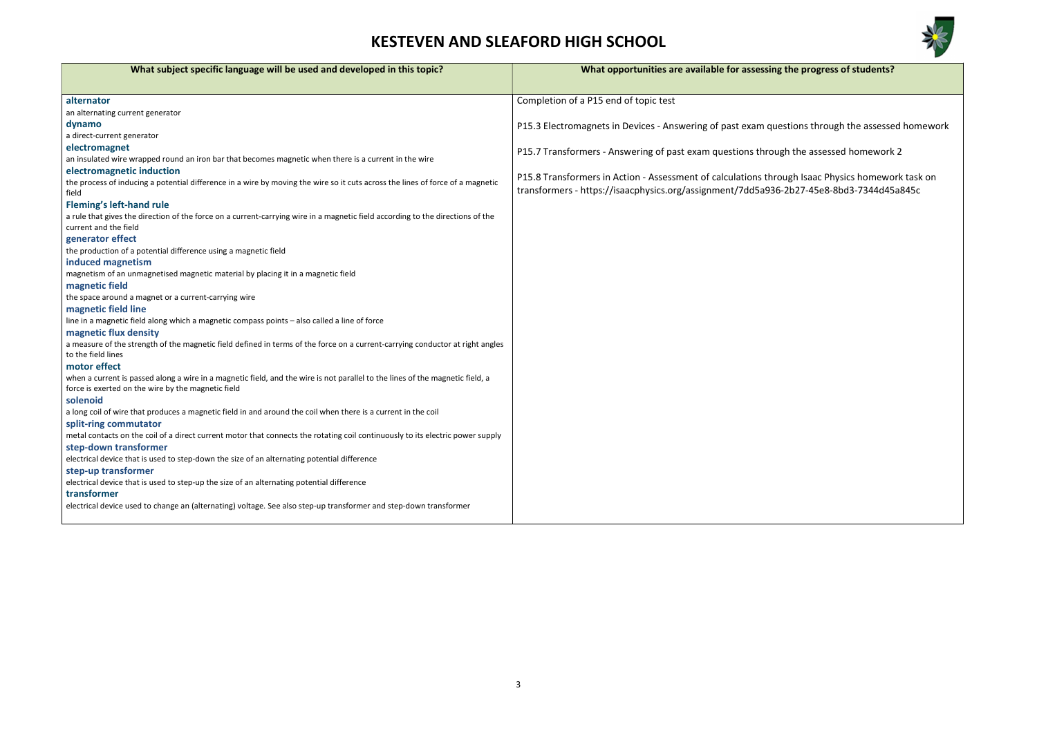

g the progress of students?

estions through the assessed homework

igh the assessed homework 2

| What subject specific language will be used and developed in this topic?                                                                                                            | What opportunities are available for assessing                                                                                |
|-------------------------------------------------------------------------------------------------------------------------------------------------------------------------------------|-------------------------------------------------------------------------------------------------------------------------------|
|                                                                                                                                                                                     |                                                                                                                               |
| alternator                                                                                                                                                                          | Completion of a P15 end of topic test                                                                                         |
| an alternating current generator                                                                                                                                                    |                                                                                                                               |
| dynamo                                                                                                                                                                              | P15.3 Electromagnets in Devices - Answering of past exam que                                                                  |
| a direct-current generator                                                                                                                                                          |                                                                                                                               |
| electromagnet                                                                                                                                                                       | P15.7 Transformers - Answering of past exam questions through                                                                 |
| an insulated wire wrapped round an iron bar that becomes magnetic when there is a current in the wire                                                                               |                                                                                                                               |
| electromagnetic induction                                                                                                                                                           |                                                                                                                               |
| the process of inducing a potential difference in a wire by moving the wire so it cuts across the lines of force of a magnetic<br>field                                             | P15.8 Transformers in Action - Assessment of calculations thro<br>transformers - https://isaacphysics.org/assignment/7dd5a936 |
| <b>Fleming's left-hand rule</b>                                                                                                                                                     |                                                                                                                               |
| a rule that gives the direction of the force on a current-carrying wire in a magnetic field according to the directions of the<br>current and the field                             |                                                                                                                               |
| generator effect                                                                                                                                                                    |                                                                                                                               |
| the production of a potential difference using a magnetic field                                                                                                                     |                                                                                                                               |
| induced magnetism                                                                                                                                                                   |                                                                                                                               |
| magnetism of an unmagnetised magnetic material by placing it in a magnetic field                                                                                                    |                                                                                                                               |
| magnetic field                                                                                                                                                                      |                                                                                                                               |
| the space around a magnet or a current-carrying wire                                                                                                                                |                                                                                                                               |
| magnetic field line                                                                                                                                                                 |                                                                                                                               |
| line in a magnetic field along which a magnetic compass points - also called a line of force                                                                                        |                                                                                                                               |
| magnetic flux density                                                                                                                                                               |                                                                                                                               |
| a measure of the strength of the magnetic field defined in terms of the force on a current-carrying conductor at right angles<br>to the field lines                                 |                                                                                                                               |
| motor effect                                                                                                                                                                        |                                                                                                                               |
| when a current is passed along a wire in a magnetic field, and the wire is not parallel to the lines of the magnetic field, a<br>force is exerted on the wire by the magnetic field |                                                                                                                               |
| solenoid                                                                                                                                                                            |                                                                                                                               |
| a long coil of wire that produces a magnetic field in and around the coil when there is a current in the coil                                                                       |                                                                                                                               |
| split-ring commutator                                                                                                                                                               |                                                                                                                               |
| metal contacts on the coil of a direct current motor that connects the rotating coil continuously to its electric power supply                                                      |                                                                                                                               |
| step-down transformer                                                                                                                                                               |                                                                                                                               |
| electrical device that is used to step-down the size of an alternating potential difference                                                                                         |                                                                                                                               |
| step-up transformer                                                                                                                                                                 |                                                                                                                               |
| electrical device that is used to step-up the size of an alternating potential difference                                                                                           |                                                                                                                               |
| transformer                                                                                                                                                                         |                                                                                                                               |
| electrical device used to change an (alternating) voltage. See also step-up transformer and step-down transformer                                                                   |                                                                                                                               |

ough Isaac Physics homework task on transformers - https://isaacphysics.org/assignment/7dd5a936-2b27-45e8-8bd3-7344d45a845c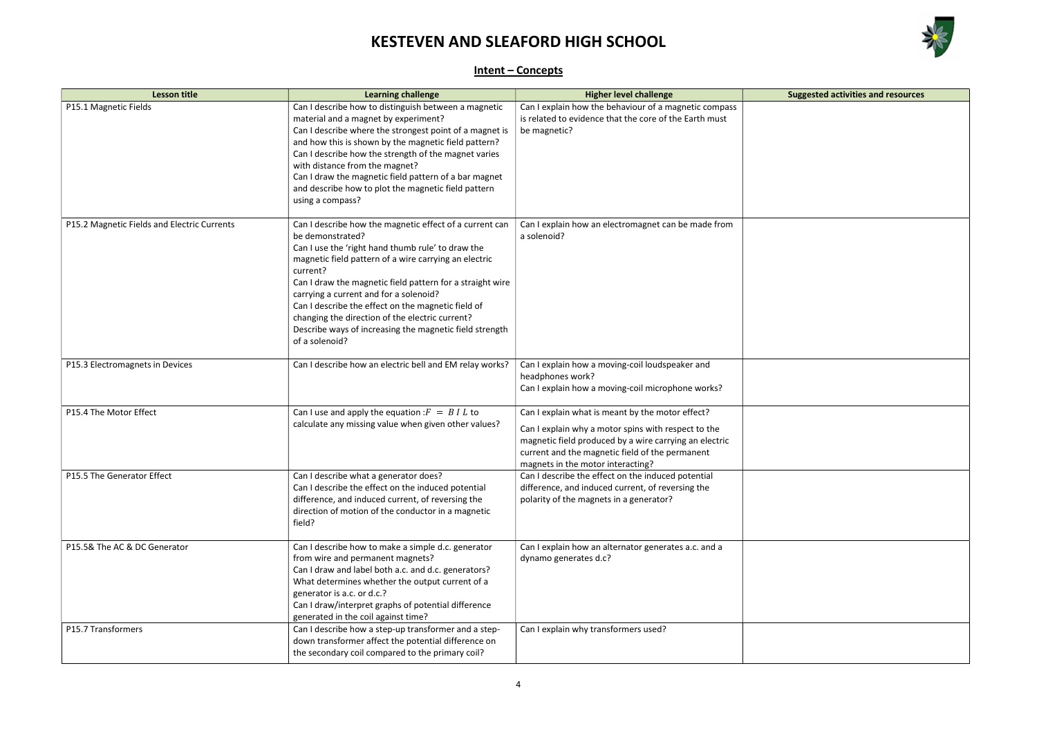

| <b>Suggested activities and resources</b> |
|-------------------------------------------|
|                                           |
|                                           |
|                                           |
|                                           |
|                                           |
|                                           |
|                                           |
|                                           |
|                                           |
|                                           |
|                                           |
|                                           |
|                                           |
|                                           |
|                                           |
|                                           |
|                                           |
|                                           |
|                                           |
|                                           |
|                                           |
|                                           |
|                                           |
|                                           |
|                                           |
|                                           |
|                                           |
|                                           |
|                                           |
|                                           |
|                                           |
|                                           |
|                                           |
|                                           |
|                                           |
|                                           |
|                                           |
|                                           |
|                                           |
|                                           |

#### Intent – Concepts

| <b>Lesson title</b>                         | <b>Learning challenge</b>                                                                                                                                                                                                                                                                                                                                                                                                                                                                          | <b>Higher level challenge</b>                                                                                                                                                                                                                             | <b>Suggested activities and resources</b> |
|---------------------------------------------|----------------------------------------------------------------------------------------------------------------------------------------------------------------------------------------------------------------------------------------------------------------------------------------------------------------------------------------------------------------------------------------------------------------------------------------------------------------------------------------------------|-----------------------------------------------------------------------------------------------------------------------------------------------------------------------------------------------------------------------------------------------------------|-------------------------------------------|
| P15.1 Magnetic Fields                       | Can I describe how to distinguish between a magnetic<br>material and a magnet by experiment?<br>Can I describe where the strongest point of a magnet is<br>and how this is shown by the magnetic field pattern?<br>Can I describe how the strength of the magnet varies<br>with distance from the magnet?<br>Can I draw the magnetic field pattern of a bar magnet<br>and describe how to plot the magnetic field pattern<br>using a compass?                                                      | Can I explain how the behaviour of a magnetic compass<br>is related to evidence that the core of the Earth must<br>be magnetic?                                                                                                                           |                                           |
| P15.2 Magnetic Fields and Electric Currents | Can I describe how the magnetic effect of a current can<br>be demonstrated?<br>Can I use the 'right hand thumb rule' to draw the<br>magnetic field pattern of a wire carrying an electric<br>current?<br>Can I draw the magnetic field pattern for a straight wire<br>carrying a current and for a solenoid?<br>Can I describe the effect on the magnetic field of<br>changing the direction of the electric current?<br>Describe ways of increasing the magnetic field strength<br>of a solenoid? | Can I explain how an electromagnet can be made from<br>a solenoid?                                                                                                                                                                                        |                                           |
| P15.3 Electromagnets in Devices             | Can I describe how an electric bell and EM relay works?                                                                                                                                                                                                                                                                                                                                                                                                                                            | Can I explain how a moving-coil loudspeaker and<br>headphones work?<br>Can I explain how a moving-coil microphone works?                                                                                                                                  |                                           |
| P15.4 The Motor Effect                      | Can I use and apply the equation : $F = B I L$ to<br>calculate any missing value when given other values?                                                                                                                                                                                                                                                                                                                                                                                          | Can I explain what is meant by the motor effect?<br>Can I explain why a motor spins with respect to the<br>magnetic field produced by a wire carrying an electric<br>current and the magnetic field of the permanent<br>magnets in the motor interacting? |                                           |
| P15.5 The Generator Effect                  | Can I describe what a generator does?<br>Can I describe the effect on the induced potential<br>difference, and induced current, of reversing the<br>direction of motion of the conductor in a magnetic<br>field?                                                                                                                                                                                                                                                                                   | Can I describe the effect on the induced potential<br>difference, and induced current, of reversing the<br>polarity of the magnets in a generator?                                                                                                        |                                           |
| P15.5& The AC & DC Generator                | Can I describe how to make a simple d.c. generator<br>from wire and permanent magnets?<br>Can I draw and label both a.c. and d.c. generators?<br>What determines whether the output current of a<br>generator is a.c. or d.c.?<br>Can I draw/interpret graphs of potential difference<br>generated in the coil against time?                                                                                                                                                                       | Can I explain how an alternator generates a.c. and a<br>dynamo generates d.c?                                                                                                                                                                             |                                           |
| P15.7 Transformers                          | Can I describe how a step-up transformer and a step-<br>down transformer affect the potential difference on<br>the secondary coil compared to the primary coil?                                                                                                                                                                                                                                                                                                                                    | Can I explain why transformers used?                                                                                                                                                                                                                      |                                           |